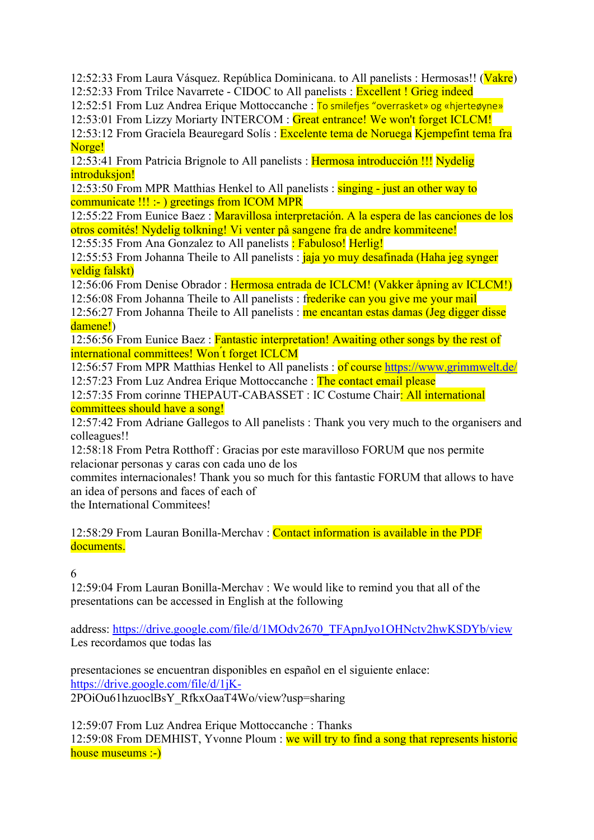12:52:33 From Laura Vásquez. República Dominicana. to All panelists : Hermosas!! (Vakre) 12:52:33 From Trilce Navarrete - CIDOC to All panelists : Excellent ! Grieg indeed

12:52:51 From Luz Andrea Erique Mottoccanche : To smilefjes "overrasket» og «hjerteøyne»

12:53:01 From Lizzy Moriarty INTERCOM : Great entrance! We won't forget ICLCM!

12:53:12 From Graciela Beauregard Solís : Excelente tema de Noruega Kjempefint tema fra Norge!

12:53:41 From Patricia Brignole to All panelists : Hermosa introducción !!! Nydelig introduksion!

12:53:50 From MPR Matthias Henkel to All panelists : singing - just an other way to communicate !!! :- ) greetings from ICOM MPR

12:55:22 From Eunice Baez : Maravillosa interpretación. A la espera de las canciones de los otros comités! Nydelig tolkning! Vi venter på sangene fra de andre kommiteene!

12:55:35 From Ana Gonzalez to All panelists : Fabuloso! Herlig!

12:55:53 From Johanna Theile to All panelists : *jaja yo muy desafinada (Haha jeg synger* veldig falskt)

12:56:06 From Denise Obrador : Hermosa entrada de ICLCM! (Vakker åpning av ICLCM!) 12:56:08 From Johanna Theile to All panelists : frederike can you give me your mail

12:56:27 From Johanna Theile to All panelists : me encantan estas damas (Jeg digger disse

damene!)

12:56:56 From Eunice Baez : Fantastic interpretation! Awaiting other songs by the rest of international committees! Won ́t forget ICLCM

12:56:57 From MPR Matthias Henkel to All panelists : of course https://www.grimmwelt.de/ 12:57:23 From Luz Andrea Erique Mottoccanche : The contact email please

12:57:35 From corinne THEPAUT-CABASSET : IC Costume Chair: All international committees should have a song!

12:57:42 From Adriane Gallegos to All panelists : Thank you very much to the organisers and colleagues!!

12:58:18 From Petra Rotthoff : Gracias por este maravilloso FORUM que nos permite relacionar personas y caras con cada uno de los

commites internacionales! Thank you so much for this fantastic FORUM that allows to have an idea of persons and faces of each of

the International Commitees!

12:58:29 From Lauran Bonilla-Merchav : Contact information is available in the PDF documents.

6

12:59:04 From Lauran Bonilla-Merchav : We would like to remind you that all of the presentations can be accessed in English at the following

address: https://drive.google.com/file/d/1MOdv2670\_TFApnJyo1OHNctv2hwKSDYb/view Les recordamos que todas las

presentaciones se encuentran disponibles en español en el siguiente enlace: https://drive.google.com/file/d/1jK-2POiOu61hzuoclBsY\_RfkxOaaT4Wo/view?usp=sharing

12:59:07 From Luz Andrea Erique Mottoccanche : Thanks 12:59:08 From DEMHIST, Yvonne Ploum : we will try to find a song that represents historic house museums :-)